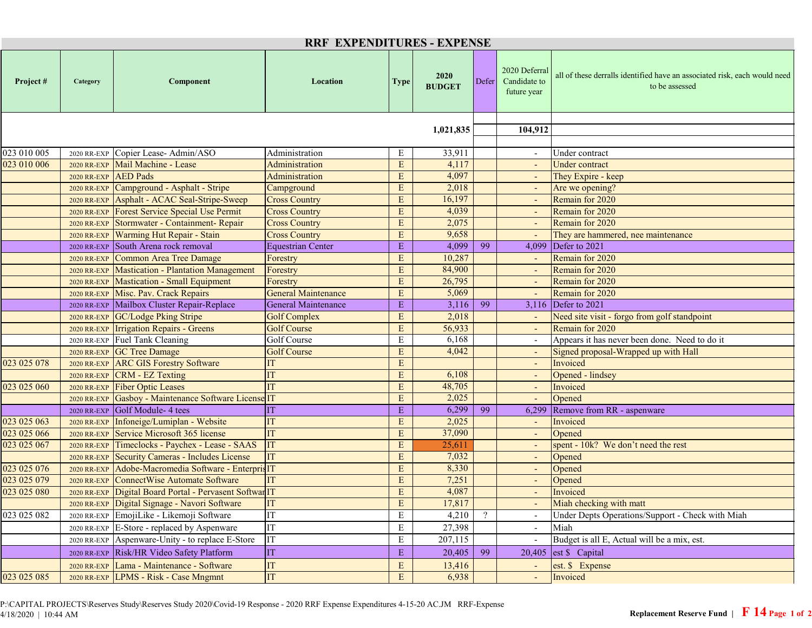| <b>RRF EXPENDITURES - EXPENSE</b> |                    |                                                         |                            |             |                       |            |                                              |                                                                                             |  |  |  |
|-----------------------------------|--------------------|---------------------------------------------------------|----------------------------|-------------|-----------------------|------------|----------------------------------------------|---------------------------------------------------------------------------------------------|--|--|--|
| Project#                          | Category           | Component                                               | Location                   | <b>Type</b> | 2020<br><b>BUDGET</b> | Defer      | 2020 Deferral<br>Candidate to<br>future year | all of these derralls identified have an associated risk, each would need<br>to be assessed |  |  |  |
|                                   |                    |                                                         |                            |             |                       |            |                                              |                                                                                             |  |  |  |
|                                   |                    |                                                         |                            | 1,021,835   |                       | 104,912    |                                              |                                                                                             |  |  |  |
| 023 010 005                       | 2020 RR-EXP        | Copier Lease-Admin/ASO                                  | Administration             | E           | 33,911                |            |                                              | Under contract                                                                              |  |  |  |
| 023 010 006                       | <b>2020 RR-EXP</b> | Mail Machine - Lease                                    | Administration             | $\mathbf E$ | 4,117                 |            |                                              | <b>Under contract</b>                                                                       |  |  |  |
|                                   | 2020 RR-EXP        | <b>AED</b> Pads                                         | <b>Administration</b>      | E           | 4,097                 |            |                                              | They Expire - keep                                                                          |  |  |  |
|                                   |                    | 2020 RR-EXP Campground - Asphalt - Stripe               | Campground                 | E           | 2,018                 |            |                                              | Are we opening?                                                                             |  |  |  |
|                                   |                    | 2020 RR-EXP Asphalt - ACAC Seal-Stripe-Sweep            | <b>Cross Country</b>       | E           | 16,197                |            |                                              | Remain for 2020                                                                             |  |  |  |
|                                   |                    | 2020 RR-EXP Forest Service Special Use Permit           | <b>Cross Country</b>       | E           | 4,039                 |            |                                              | Remain for 2020                                                                             |  |  |  |
|                                   | 2020 RR-EXP        | Stormwater - Containment- Repair                        | <b>Cross Country</b>       | E           | 2,075                 |            |                                              | Remain for 2020                                                                             |  |  |  |
|                                   | <b>2020 RR-EXP</b> | <b>Warming Hut Repair - Stain</b>                       | <b>Cross Country</b>       | E           | 9,658                 |            | $\sim$                                       | They are hammered, nee maintenance                                                          |  |  |  |
|                                   | 2020 RR-EXP        | South Arena rock removal                                | <b>Equestrian Center</b>   | E           | 4,099                 | 99         | 4,099                                        | Defer to 2021                                                                               |  |  |  |
|                                   | 2020 RR-EXP        | Common Area Tree Damage                                 | Forestry                   | E           | 10,287                |            | $\blacksquare$                               | Remain for 2020                                                                             |  |  |  |
|                                   | <b>2020 RR-EXP</b> | <b>Mastication - Plantation Management</b>              | Forestry                   | $\mathbf E$ | 84,900                |            |                                              | Remain for 2020                                                                             |  |  |  |
|                                   | 2020 RR-EXP        | Mastication - Small Equipment                           | Forestry                   | $\mathbf E$ | 26,795                |            |                                              | Remain for 2020                                                                             |  |  |  |
|                                   |                    | 2020 RR-EXP Misc. Pav. Crack Repairs                    | <b>General Maintenance</b> | E           | 5,069                 |            | $\sim$                                       | Remain for 2020                                                                             |  |  |  |
|                                   |                    | 2020 RR-EXP Mailbox Cluster Repair-Replace              | <b>General Maintenance</b> | $\mathbf E$ | 3,116                 | 99         |                                              | 3,116 Defer to 2021                                                                         |  |  |  |
|                                   |                    | 2020 RR-EXP GC/Lodge Pking Stripe                       | <b>Golf Complex</b>        | E           | 2,018                 |            |                                              | Need site visit - forgo from golf standpoint                                                |  |  |  |
|                                   |                    | 2020 RR-EXP Trrigation Repairs - Greens                 | <b>Golf Course</b>         | E           | 56,933                |            |                                              | Remain for 2020                                                                             |  |  |  |
|                                   | 2020 RR-EXP        | Fuel Tank Cleaning                                      | Golf Course                | E           | 6,168                 |            | $\sim$                                       | Appears it has never been done. Need to do it                                               |  |  |  |
|                                   |                    | 2020 RR-EXP GC Tree Damage                              | <b>Golf Course</b>         | E           | 4,042                 |            | $\omega_{\rm c}$                             | Signed proposal-Wrapped up with Hall                                                        |  |  |  |
| 023 025 078                       | 2020 RR-EXP        | <b>ARC GIS Forestry Software</b>                        | ľТ                         | E           |                       |            | $\sim$                                       | Invoiced                                                                                    |  |  |  |
|                                   | <b>2020 RR-EXP</b> | <b>CRM - EZ Texting</b>                                 | <b>IT</b>                  | E           | 6,108                 |            |                                              | Opened - lindsey                                                                            |  |  |  |
| 023 025 060                       | <b>2020 RR-EXP</b> | <b>Fiber Optic Leases</b>                               | <b>IT</b>                  | $\mathbf E$ | 48,705                |            |                                              | Invoiced                                                                                    |  |  |  |
|                                   | 2020 RR-EXP        | Gasboy - Maintenance Software License IT                |                            | $\mathbf E$ | 2,025                 |            |                                              | Opened                                                                                      |  |  |  |
|                                   |                    | 2020 RR-EXP Golf Module- 4 tees                         | IT                         | ${\bf E}$   | 6,299                 | 99         | 6,299                                        | Remove from RR - aspenware                                                                  |  |  |  |
| 023 025 063                       |                    | 2020 RR-EXP Infoneige/Lumiplan - Website                | <b>IT</b>                  | E           | 2,025                 |            |                                              | Invoiced                                                                                    |  |  |  |
| 023 025 066                       | 2020 RR-EXP        | Service Microsoft 365 license                           | <b>IT</b>                  | $\mathbf E$ | 37,090                |            |                                              | Opened                                                                                      |  |  |  |
| 023 025 067                       | <b>2020 RR-EXP</b> | Timeclocks - Paychex - Lease - SAAS                     | <b>IT</b>                  | E           | 25,611                |            |                                              | spent - 10k? We don't need the rest                                                         |  |  |  |
|                                   | <b>2020 RR-EXP</b> | Security Cameras - Includes License                     | <b>IT</b>                  | E           | 7,032                 |            |                                              | Opened                                                                                      |  |  |  |
| 023 025 076                       | <b>2020 RR-EXP</b> | Adobe-Macromedia Software - EnterprisIT                 |                            | E           | 8,330                 |            | $\sim$                                       | Opened                                                                                      |  |  |  |
| 023 025 079                       |                    | 2020 RR-EXP ConnectWise Automate Software               |                            | E           | 7,251                 |            | $\sim$                                       | Opened                                                                                      |  |  |  |
| 023 025 080                       |                    | 2020 RR-EXP Digital Board Portal - Pervasent Softwar IT |                            | E           | 4,087                 |            |                                              | Invoiced                                                                                    |  |  |  |
|                                   |                    | 2020 RR-EXP Digital Signage - Navori Software           | IT                         | ${\bf E}$   | 17,817                |            |                                              | Miah checking with matt                                                                     |  |  |  |
| 023 025 082                       | 2020 RR-EXP        | EmojiLike - Likemoji Software                           | IT                         | $\mathbf E$ | 4,210                 | $\ddot{?}$ |                                              | Under Depts Operations/Support - Check with Miah                                            |  |  |  |
|                                   | 2020 RR-EXP        | E-Store - replaced by Aspenware                         | IT                         | $\mathbf E$ | 27,398                |            |                                              | Miah                                                                                        |  |  |  |
|                                   | 2020 RR-EXP        | Aspenware-Unity - to replace E-Store                    | IT                         | E           | 207,115               |            | $\overline{\phantom{a}}$                     | Budget is all E, Actual will be a mix, est.                                                 |  |  |  |
|                                   | 2020 RR-EXP        | Risk/HR Video Safety Platform                           | IT                         | ${\bf E}$   | 20,405                | 99         | 20,405                                       | est \$ Capital                                                                              |  |  |  |
|                                   | 2020 RR-EXP        | Lama - Maintenance - Software                           | IT                         | E           | 13,416                |            |                                              | est. \$ Expense                                                                             |  |  |  |
| 023 025 085                       | 2020 RR-EXP        | <b>LPMS - Risk - Case Mngmnt</b>                        | IT                         | ${\bf E}$   | 6,938                 |            |                                              | Invoiced                                                                                    |  |  |  |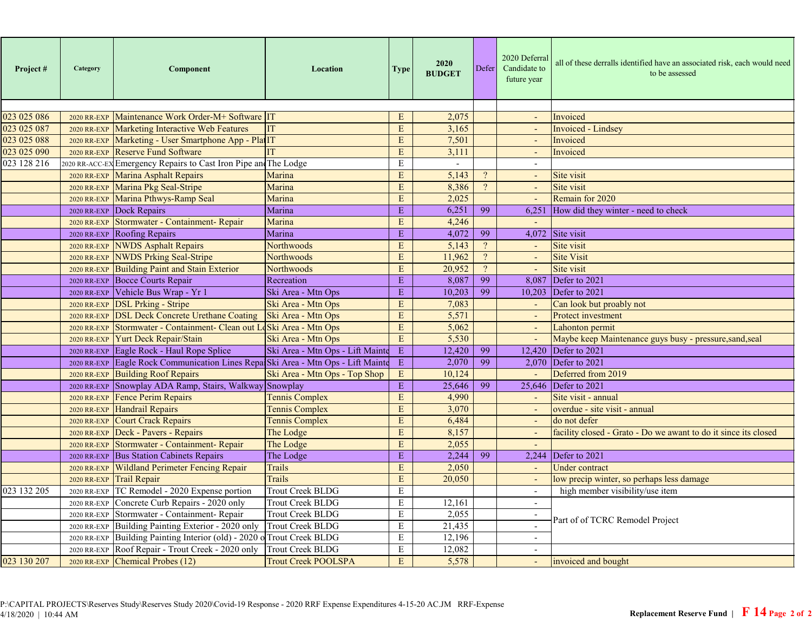| 023 025 086<br>Maintenance Work Order-M+ Software IT<br>2,075<br>Invoiced<br>E<br><b>2020 RR-EXP</b><br>$\sim$<br><b>Marketing Interactive Web Features</b><br>${\bf E}$<br>3,165<br><b>Invoiced</b> - Lindsey<br>2020 RR-EXP<br>E<br>7,501<br>Marketing - User Smartphone App - PlatIT<br>Invoiced<br>2020 RR-EXP<br>$\blacksquare$<br><b>Reserve Fund Software</b><br>E<br>3,111<br>Invoiced<br>2020 RR-EXP<br>$\sim$<br>2020 RR-ACC-EX Emergency Repairs to Cast Iron Pipe and The Lodge<br>$\mathbf E$<br>$\sim$<br>$\sim$<br>5,143<br>E<br>$\overline{?}$<br>Site visit<br>Marina Asphalt Repairs<br>Marina<br><b>2020 RR-EXP</b><br>$\mathcal{L}_{\mathcal{A}}$<br>Marina Pkg Seal-Stripe<br>Marina<br>E<br>8,386<br>$\overline{?}$<br>Site visit<br><b>2020 RR-EXP</b><br>$\blacksquare$<br>E<br>Remain for 2020<br>Marina Pthwys-Ramp Seal<br>2,025<br>Marina<br><b>2020 RR-EXP</b><br>$\sim$<br>6,251<br>99<br>Dock Repairs<br>Marina<br>${\bf E}$<br>6,251<br>How did they winter - need to check<br>2020 RR-EXP<br>Marina<br>Stormwater - Containment- Repair<br>$\mathbf E$<br>4,246<br><b>2020 RR-EXP</b><br>99<br>Marina<br>E<br>4,072<br>4,072<br>Site visit<br>2020 RR-EXP Roofing Repairs<br>Northwoods<br>E<br>5,143<br>Site visit<br><b>NWDS Asphalt Repairs</b><br><b>2020 RR-EXP</b><br>$\sim$<br>$\mathbf E$<br>11,962<br>$\overline{?}$<br><b>Site Visit</b><br><b>NWDS Prking Seal-Stripe</b><br>Northwoods<br>2020 RR-EXP<br>÷.<br>E<br>20,952<br>$\overline{?}$<br>Site visit<br>Building Paint and Stain Exterior<br>Northwoods<br><b>2020 RR-EXP</b> | Project# | Category | Component           | <b>Location</b> | <b>Type</b> | 2020<br><b>BUDGET</b> | Defer | 2020 Deferral<br>Candidate to<br>future year | all of these derralls identified have an associated risk, each would need<br>to be assessed |
|----------------------------------------------------------------------------------------------------------------------------------------------------------------------------------------------------------------------------------------------------------------------------------------------------------------------------------------------------------------------------------------------------------------------------------------------------------------------------------------------------------------------------------------------------------------------------------------------------------------------------------------------------------------------------------------------------------------------------------------------------------------------------------------------------------------------------------------------------------------------------------------------------------------------------------------------------------------------------------------------------------------------------------------------------------------------------------------------------------------------------------------------------------------------------------------------------------------------------------------------------------------------------------------------------------------------------------------------------------------------------------------------------------------------------------------------------------------------------------------------------------------------------------------------------------------------------------|----------|----------|---------------------|-----------------|-------------|-----------------------|-------|----------------------------------------------|---------------------------------------------------------------------------------------------|
| 023 025 087<br>023 025 088<br>023 025 090<br>023 128 216                                                                                                                                                                                                                                                                                                                                                                                                                                                                                                                                                                                                                                                                                                                                                                                                                                                                                                                                                                                                                                                                                                                                                                                                                                                                                                                                                                                                                                                                                                                         |          |          |                     |                 |             |                       |       |                                              |                                                                                             |
|                                                                                                                                                                                                                                                                                                                                                                                                                                                                                                                                                                                                                                                                                                                                                                                                                                                                                                                                                                                                                                                                                                                                                                                                                                                                                                                                                                                                                                                                                                                                                                                  |          |          |                     |                 |             |                       |       |                                              |                                                                                             |
|                                                                                                                                                                                                                                                                                                                                                                                                                                                                                                                                                                                                                                                                                                                                                                                                                                                                                                                                                                                                                                                                                                                                                                                                                                                                                                                                                                                                                                                                                                                                                                                  |          |          |                     |                 |             |                       |       |                                              |                                                                                             |
|                                                                                                                                                                                                                                                                                                                                                                                                                                                                                                                                                                                                                                                                                                                                                                                                                                                                                                                                                                                                                                                                                                                                                                                                                                                                                                                                                                                                                                                                                                                                                                                  |          |          |                     |                 |             |                       |       |                                              |                                                                                             |
|                                                                                                                                                                                                                                                                                                                                                                                                                                                                                                                                                                                                                                                                                                                                                                                                                                                                                                                                                                                                                                                                                                                                                                                                                                                                                                                                                                                                                                                                                                                                                                                  |          |          |                     |                 |             |                       |       |                                              |                                                                                             |
|                                                                                                                                                                                                                                                                                                                                                                                                                                                                                                                                                                                                                                                                                                                                                                                                                                                                                                                                                                                                                                                                                                                                                                                                                                                                                                                                                                                                                                                                                                                                                                                  |          |          |                     |                 |             |                       |       |                                              |                                                                                             |
|                                                                                                                                                                                                                                                                                                                                                                                                                                                                                                                                                                                                                                                                                                                                                                                                                                                                                                                                                                                                                                                                                                                                                                                                                                                                                                                                                                                                                                                                                                                                                                                  |          |          |                     |                 |             |                       |       |                                              |                                                                                             |
|                                                                                                                                                                                                                                                                                                                                                                                                                                                                                                                                                                                                                                                                                                                                                                                                                                                                                                                                                                                                                                                                                                                                                                                                                                                                                                                                                                                                                                                                                                                                                                                  |          |          |                     |                 |             |                       |       |                                              |                                                                                             |
|                                                                                                                                                                                                                                                                                                                                                                                                                                                                                                                                                                                                                                                                                                                                                                                                                                                                                                                                                                                                                                                                                                                                                                                                                                                                                                                                                                                                                                                                                                                                                                                  |          |          |                     |                 |             |                       |       |                                              |                                                                                             |
|                                                                                                                                                                                                                                                                                                                                                                                                                                                                                                                                                                                                                                                                                                                                                                                                                                                                                                                                                                                                                                                                                                                                                                                                                                                                                                                                                                                                                                                                                                                                                                                  |          |          |                     |                 |             |                       |       |                                              |                                                                                             |
|                                                                                                                                                                                                                                                                                                                                                                                                                                                                                                                                                                                                                                                                                                                                                                                                                                                                                                                                                                                                                                                                                                                                                                                                                                                                                                                                                                                                                                                                                                                                                                                  |          |          |                     |                 |             |                       |       |                                              |                                                                                             |
|                                                                                                                                                                                                                                                                                                                                                                                                                                                                                                                                                                                                                                                                                                                                                                                                                                                                                                                                                                                                                                                                                                                                                                                                                                                                                                                                                                                                                                                                                                                                                                                  |          |          |                     |                 |             |                       |       |                                              |                                                                                             |
|                                                                                                                                                                                                                                                                                                                                                                                                                                                                                                                                                                                                                                                                                                                                                                                                                                                                                                                                                                                                                                                                                                                                                                                                                                                                                                                                                                                                                                                                                                                                                                                  |          |          |                     |                 |             |                       |       |                                              |                                                                                             |
|                                                                                                                                                                                                                                                                                                                                                                                                                                                                                                                                                                                                                                                                                                                                                                                                                                                                                                                                                                                                                                                                                                                                                                                                                                                                                                                                                                                                                                                                                                                                                                                  |          |          |                     |                 |             |                       |       |                                              |                                                                                             |
|                                                                                                                                                                                                                                                                                                                                                                                                                                                                                                                                                                                                                                                                                                                                                                                                                                                                                                                                                                                                                                                                                                                                                                                                                                                                                                                                                                                                                                                                                                                                                                                  |          |          | Bocce Courts Repair | Recreation      | ${\bf E}$   | 8,087                 | 99    | 8.087                                        | Defer to 2021                                                                               |
| 2020 RR-EXP<br>99<br>Vehicle Bus Wrap - Yr 1<br>E<br>Defer to 2021<br>Ski Area - Mtn Ops<br>10,203<br>10.203<br>2020 RR-EXP                                                                                                                                                                                                                                                                                                                                                                                                                                                                                                                                                                                                                                                                                                                                                                                                                                                                                                                                                                                                                                                                                                                                                                                                                                                                                                                                                                                                                                                      |          |          |                     |                 |             |                       |       |                                              |                                                                                             |
| E<br>7,083<br><b>DSL Prking - Stripe</b><br>Ski Area - Mtn Ops<br>Can look but proably not<br><b>2020 RR-EXP</b><br>$\sim$                                                                                                                                                                                                                                                                                                                                                                                                                                                                                                                                                                                                                                                                                                                                                                                                                                                                                                                                                                                                                                                                                                                                                                                                                                                                                                                                                                                                                                                       |          |          |                     |                 |             |                       |       |                                              |                                                                                             |
| <b>DSL Deck Concrete Urethane Coating</b><br>Ski Area - Mtn Ops<br>$\mathbf E$<br>5,571<br>Protect investment<br><b>2020 RR-EXP</b><br>$\blacksquare$                                                                                                                                                                                                                                                                                                                                                                                                                                                                                                                                                                                                                                                                                                                                                                                                                                                                                                                                                                                                                                                                                                                                                                                                                                                                                                                                                                                                                            |          |          |                     |                 |             |                       |       |                                              |                                                                                             |
| $\mathbf E$<br>Stormwater - Containment- Clean out L<br>Ski Area - Mtn Ops<br>5,062<br>Lahonton permit<br><b>2020 RR-EXP</b><br>$\sim$                                                                                                                                                                                                                                                                                                                                                                                                                                                                                                                                                                                                                                                                                                                                                                                                                                                                                                                                                                                                                                                                                                                                                                                                                                                                                                                                                                                                                                           |          |          |                     |                 |             |                       |       |                                              |                                                                                             |
| <b>Yurt Deck Repair/Stain</b><br>E<br>5,530<br>Ski Area - Mtn Ops<br>÷.<br>Maybe keep Maintenance guys busy - pressure, sand, seal<br><b>2020 RR-EXP</b>                                                                                                                                                                                                                                                                                                                                                                                                                                                                                                                                                                                                                                                                                                                                                                                                                                                                                                                                                                                                                                                                                                                                                                                                                                                                                                                                                                                                                         |          |          |                     |                 |             |                       |       |                                              |                                                                                             |
| E<br>99<br>Defer to 2021<br>Eagle Rock - Haul Rope Splice<br>Ski Area - Mtn Ops - Lift Mainte<br>12,420<br>12,420<br>2020 RR-EXP                                                                                                                                                                                                                                                                                                                                                                                                                                                                                                                                                                                                                                                                                                                                                                                                                                                                                                                                                                                                                                                                                                                                                                                                                                                                                                                                                                                                                                                 |          |          |                     |                 |             |                       |       |                                              |                                                                                             |
| 99<br>2,070<br>Eagle Rock Communication Lines Repa Ski Area - Mtn Ops - Lift Mainte<br>E<br>2,070 Defer to 2021<br>2020 RR-EXP                                                                                                                                                                                                                                                                                                                                                                                                                                                                                                                                                                                                                                                                                                                                                                                                                                                                                                                                                                                                                                                                                                                                                                                                                                                                                                                                                                                                                                                   |          |          |                     |                 |             |                       |       |                                              |                                                                                             |
| Ski Area - Mtn Ops - Top Shop<br>${\bf E}$<br>10,124<br>Deferred from 2019<br><b>Building Roof Repairs</b><br><b>2020 RR-EXP</b><br>$\sim$                                                                                                                                                                                                                                                                                                                                                                                                                                                                                                                                                                                                                                                                                                                                                                                                                                                                                                                                                                                                                                                                                                                                                                                                                                                                                                                                                                                                                                       |          |          |                     |                 |             |                       |       |                                              |                                                                                             |
| 99<br>Snowplay ADA Ramp, Stairs, Walkway Snowplay<br>${\bf E}$<br>25,646<br>25,646<br>Defer to 2021<br>2020 RR-EXP                                                                                                                                                                                                                                                                                                                                                                                                                                                                                                                                                                                                                                                                                                                                                                                                                                                                                                                                                                                                                                                                                                                                                                                                                                                                                                                                                                                                                                                               |          |          |                     |                 |             |                       |       |                                              |                                                                                             |
| <b>Tennis Complex</b><br>$\overline{\mathrm{E}}$<br>4,990<br>Site visit - annual<br><b>Fence Perim Repairs</b><br><b>2020 RR-EXP</b>                                                                                                                                                                                                                                                                                                                                                                                                                                                                                                                                                                                                                                                                                                                                                                                                                                                                                                                                                                                                                                                                                                                                                                                                                                                                                                                                                                                                                                             |          |          |                     |                 |             |                       |       |                                              |                                                                                             |
| $\mathbf E$<br>3,070<br>overdue - site visit - annual<br><b>Handrail Repairs</b><br><b>Tennis Complex</b><br><b>2020 RR-EXP</b><br>$\omega$                                                                                                                                                                                                                                                                                                                                                                                                                                                                                                                                                                                                                                                                                                                                                                                                                                                                                                                                                                                                                                                                                                                                                                                                                                                                                                                                                                                                                                      |          |          |                     |                 |             |                       |       |                                              |                                                                                             |
| $\mathbf E$<br>6,484<br><b>Court Crack Repairs</b><br><b>Tennis Complex</b><br>do not defer<br><b>2020 RR-EXP</b><br>$\sim$                                                                                                                                                                                                                                                                                                                                                                                                                                                                                                                                                                                                                                                                                                                                                                                                                                                                                                                                                                                                                                                                                                                                                                                                                                                                                                                                                                                                                                                      |          |          |                     |                 |             |                       |       |                                              |                                                                                             |
| E<br>8,157<br>Deck - Pavers - Repairs<br>facility closed - Grato - Do we awant to do it since its closed<br>The Lodge<br><b>2020 RR-EXP</b><br>$\omega$                                                                                                                                                                                                                                                                                                                                                                                                                                                                                                                                                                                                                                                                                                                                                                                                                                                                                                                                                                                                                                                                                                                                                                                                                                                                                                                                                                                                                          |          |          |                     |                 |             |                       |       |                                              |                                                                                             |
| 2,055<br>Stormwater - Containment- Repair<br>The Lodge<br>E<br><b>2020 RR-EXP</b>                                                                                                                                                                                                                                                                                                                                                                                                                                                                                                                                                                                                                                                                                                                                                                                                                                                                                                                                                                                                                                                                                                                                                                                                                                                                                                                                                                                                                                                                                                |          |          |                     |                 |             |                       |       |                                              |                                                                                             |
| $\mathbf E$<br>99<br>2,244<br>2,244<br>Defer to 2021<br><b>Bus Station Cabinets Repairs</b><br>The Lodge<br>2020 RR-EXP                                                                                                                                                                                                                                                                                                                                                                                                                                                                                                                                                                                                                                                                                                                                                                                                                                                                                                                                                                                                                                                                                                                                                                                                                                                                                                                                                                                                                                                          |          |          |                     |                 |             |                       |       |                                              |                                                                                             |
| 2,050<br>Wildland Perimeter Fencing Repair<br>Trails<br>$\mathbf E$<br><b>Under contract</b><br><b>2020 RR-EXP</b><br>$\sim$                                                                                                                                                                                                                                                                                                                                                                                                                                                                                                                                                                                                                                                                                                                                                                                                                                                                                                                                                                                                                                                                                                                                                                                                                                                                                                                                                                                                                                                     |          |          |                     |                 |             |                       |       |                                              |                                                                                             |
| <b>Trails</b><br>20,050<br>low precip winter, so perhaps less damage<br><b>Trail Repair</b><br>E<br><b>2020 RR-EXP</b><br>$\mathcal{L}_{\mathcal{A}}$                                                                                                                                                                                                                                                                                                                                                                                                                                                                                                                                                                                                                                                                                                                                                                                                                                                                                                                                                                                                                                                                                                                                                                                                                                                                                                                                                                                                                            |          |          |                     |                 |             |                       |       |                                              |                                                                                             |
| TC Remodel - 2020 Expense portion<br>023 132 205<br>Trout Creek BLDG<br>$\mathbf E$<br>high member visibility/use item<br>2020 RR-EXP<br>$\blacksquare$                                                                                                                                                                                                                                                                                                                                                                                                                                                                                                                                                                                                                                                                                                                                                                                                                                                                                                                                                                                                                                                                                                                                                                                                                                                                                                                                                                                                                          |          |          |                     |                 |             |                       |       |                                              |                                                                                             |
| Concrete Curb Repairs - 2020 only<br>E<br>Trout Creek BLDG<br>12,161<br>2020 RR-EXP<br>$\sim$                                                                                                                                                                                                                                                                                                                                                                                                                                                                                                                                                                                                                                                                                                                                                                                                                                                                                                                                                                                                                                                                                                                                                                                                                                                                                                                                                                                                                                                                                    |          |          |                     |                 |             |                       |       |                                              |                                                                                             |
| Stormwater - Containment- Repair<br>Trout Creek BLDG<br>$\mathbf E$<br>2,055<br>2020 RR-EXP<br>$\sim$                                                                                                                                                                                                                                                                                                                                                                                                                                                                                                                                                                                                                                                                                                                                                                                                                                                                                                                                                                                                                                                                                                                                                                                                                                                                                                                                                                                                                                                                            |          |          |                     |                 |             |                       |       |                                              |                                                                                             |
| Part of of TCRC Remodel Project<br>$\mathbf E$<br>21,435<br>Building Painting Exterior - 2020 only<br>Trout Creek BLDG<br>2020 RR-EXP                                                                                                                                                                                                                                                                                                                                                                                                                                                                                                                                                                                                                                                                                                                                                                                                                                                                                                                                                                                                                                                                                                                                                                                                                                                                                                                                                                                                                                            |          |          |                     |                 |             |                       |       |                                              |                                                                                             |
| Building Painting Interior (old) - 2020 o<br><b>Trout Creek BLDG</b><br>E<br>12,196<br>2020 RR-EXP<br>$\sim$                                                                                                                                                                                                                                                                                                                                                                                                                                                                                                                                                                                                                                                                                                                                                                                                                                                                                                                                                                                                                                                                                                                                                                                                                                                                                                                                                                                                                                                                     |          |          |                     |                 |             |                       |       |                                              |                                                                                             |
| Roof Repair - Trout Creek - 2020 only<br>E<br>Trout Creek BLDG<br>12,082<br>2020 RR-EXP<br>$\sim$                                                                                                                                                                                                                                                                                                                                                                                                                                                                                                                                                                                                                                                                                                                                                                                                                                                                                                                                                                                                                                                                                                                                                                                                                                                                                                                                                                                                                                                                                |          |          |                     |                 |             |                       |       |                                              |                                                                                             |
| 023 130 207<br>${\bf E}$<br>5,578<br>$\mathbb{Z}^+$<br>Chemical Probes (12)<br><b>Trout Creek POOLSPA</b><br>invoiced and bought<br><b>2020 RR-EXP</b>                                                                                                                                                                                                                                                                                                                                                                                                                                                                                                                                                                                                                                                                                                                                                                                                                                                                                                                                                                                                                                                                                                                                                                                                                                                                                                                                                                                                                           |          |          |                     |                 |             |                       |       |                                              |                                                                                             |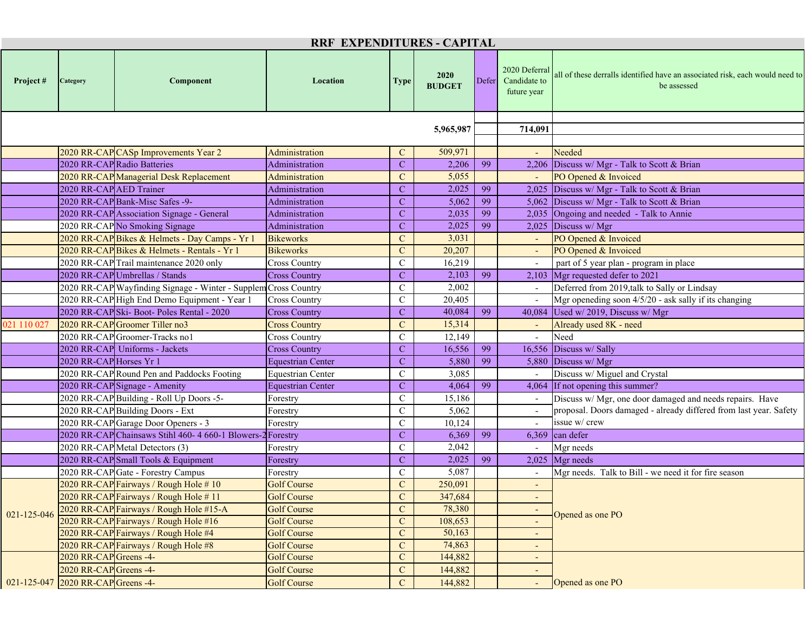|             | <b>RRF EXPENDITURES - CAPITAL</b>  |                                                                 |                                              |                |                       |       |                                              |                                                                                             |  |  |  |
|-------------|------------------------------------|-----------------------------------------------------------------|----------------------------------------------|----------------|-----------------------|-------|----------------------------------------------|---------------------------------------------------------------------------------------------|--|--|--|
| Project#    | Category                           | Component                                                       | Location                                     | <b>Type</b>    | 2020<br><b>BUDGET</b> | Defer | 2020 Deferral<br>Candidate to<br>future year | all of these derralls identified have an associated risk, each would need to<br>be assessed |  |  |  |
|             |                                    |                                                                 |                                              |                | 5,965,987             |       |                                              |                                                                                             |  |  |  |
|             |                                    |                                                                 |                                              | 714,091        |                       |       |                                              |                                                                                             |  |  |  |
|             |                                    | 2020 RR-CAP CASp Improvements Year 2                            | Administration                               | $\mathbf C$    | 509,971               |       |                                              | Needed                                                                                      |  |  |  |
|             |                                    | 2020 RR-CAP Radio Batteries                                     | Administration                               | $\mathbf C$    | 2,206                 | 99    |                                              | 2,206 Discuss w/ Mgr - Talk to Scott & Brian                                                |  |  |  |
|             |                                    | 2020 RR-CAP Managerial Desk Replacement                         | Administration                               | $\mathcal{C}$  | 5,055                 |       |                                              | PO Opened & Invoiced                                                                        |  |  |  |
|             | 2020 RR-CAP AED Trainer            |                                                                 | Administration                               | $\mathbf C$    | 2,025                 | 99    |                                              | 2,025 Discuss w/ Mgr - Talk to Scott & Brian                                                |  |  |  |
|             |                                    | 2020 RR-CAP Bank-Misc Safes -9-                                 | Administration                               | $\mathbf C$    | 5,062                 | 99    |                                              | 5,062 Discuss w/ Mgr - Talk to Scott & Brian                                                |  |  |  |
|             |                                    | 2020 RR-CAP Association Signage - General                       | Administration                               | $\mathbf C$    | 2,035                 | 99    |                                              | 2,035 Ongoing and needed - Talk to Annie                                                    |  |  |  |
|             |                                    | 2020 RR-CAP No Smoking Signage                                  | Administration                               | $\mathbf C$    | 2,025                 | 99    |                                              | 2,025 Discuss w/ Mgr                                                                        |  |  |  |
|             |                                    | 2020 RR-CAP Bikes & Helmets - Day Camps - Yr 1                  | <b>Bikeworks</b>                             | $\mathbf C$    | 3,031                 |       |                                              | PO Opened & Invoiced                                                                        |  |  |  |
|             |                                    | 2020 RR-CAP Bikes & Helmets - Rentals - Yr 1                    | <b>Bikeworks</b>                             | $\mathbf C$    | 20,207                |       |                                              | PO Opened & Invoiced                                                                        |  |  |  |
|             |                                    | 2020 RR-CAP Trail maintenance 2020 only                         | <b>Cross Country</b>                         | $\mathcal{C}$  | 16,219                |       |                                              | part of 5 year plan - program in place                                                      |  |  |  |
|             |                                    | 2020 RR-CAP Umbrellas / Stands                                  | <b>Cross Country</b>                         | $\mathbf C$    | 2,103                 | 99    |                                              | 2,103 Mgr requested defer to 2021                                                           |  |  |  |
|             |                                    | 2020 RR-CAP Wayfinding Signage - Winter - Supplem Cross Country |                                              | $\mathbf C$    | 2,002                 |       |                                              | Deferred from 2019, talk to Sally or Lindsay                                                |  |  |  |
|             |                                    | 2020 RR-CAP High End Demo Equipment - Year 1                    | <b>Cross Country</b>                         | $\mathbf C$    | 20,405                |       |                                              | Mgr openeding soon 4/5/20 - ask sally if its changing                                       |  |  |  |
|             |                                    | 2020 RR-CAP Ski-Boot-Poles Rental - 2020                        |                                              | $\mathbf C$    | 40,084                | 99    |                                              | 40,084 Used w/ 2019, Discuss w/ Mgr                                                         |  |  |  |
| 021 110 027 |                                    | 2020 RR-CAP Groomer Tiller no3                                  | <b>Cross Country</b><br><b>Cross Country</b> | $\mathbf C$    | 15,314                |       |                                              | Already used 8K - need                                                                      |  |  |  |
|             |                                    | 2020 RR-CAP Groomer-Tracks no1                                  | <b>Cross Country</b>                         | $\mathbf C$    | 12,149                |       |                                              | Need                                                                                        |  |  |  |
|             |                                    |                                                                 |                                              |                | 16,556                | 99    |                                              |                                                                                             |  |  |  |
|             |                                    | 2020 RR-CAP Uniforms - Jackets                                  | <b>Cross Country</b>                         | $\mathbf C$    |                       |       |                                              | 16,556 Discuss w/ Sally                                                                     |  |  |  |
|             | 2020 RR-CAP Horses Yr 1            |                                                                 | <b>Equestrian Center</b>                     | $\mathbf C$    | 5,880                 | 99    |                                              | 5,880 Discuss w/ Mgr                                                                        |  |  |  |
|             |                                    | 2020 RR-CAP Round Pen and Paddocks Footing                      | <b>Equestrian Center</b>                     | $\mathcal{C}$  | 3,085                 |       |                                              | Discuss w/ Miguel and Crystal                                                               |  |  |  |
|             |                                    | 2020 RR-CAP Signage - Amenity                                   | <b>Equestrian Center</b>                     | $\mathbf C$    | 4,064                 | 99    |                                              | 4,064 If not opening this summer?                                                           |  |  |  |
|             |                                    | 2020 RR-CAP Building - Roll Up Doors -5-                        | Forestry                                     | $\mathcal{C}$  | 15,186                |       |                                              | Discuss w/ Mgr, one door damaged and needs repairs. Have                                    |  |  |  |
|             |                                    | 2020 RR-CAP Building Doors - Ext                                | Forestry                                     | $\mathbf C$    | 5,062                 |       |                                              | proposal. Doors damaged - already differed from last year. Safety                           |  |  |  |
|             |                                    | 2020 RR-CAP Garage Door Openers - 3                             | Forestry                                     | $\mathbf C$    | 10,124                |       |                                              | issue w/ crew                                                                               |  |  |  |
|             |                                    | 2020 RR-CAP Chainsaws Stihl 460- 4 660-1 Blowers-2 Forestry     |                                              | $\mathbf C$    | 6,369                 | 99    |                                              | 6,369 can defer                                                                             |  |  |  |
|             |                                    | 2020 RR-CAP Metal Detectors (3)                                 | Forestry                                     | $\mathcal{C}$  | 2,042                 |       |                                              | Mgr needs                                                                                   |  |  |  |
|             |                                    | 2020 RR-CAP Small Tools & Equipment                             | Forestry                                     | $\mathbf C$    | 2,025                 | 99    |                                              | $2,025$ Mgr needs                                                                           |  |  |  |
|             |                                    | 2020 RR-CAP Gate - Forestry Campus                              | Forestry                                     | $\mathcal{C}$  | 5,087                 |       |                                              | Mgr needs. Talk to Bill - we need it for fire season                                        |  |  |  |
|             |                                    | 2020 RR-CAP Fairways / Rough Hole #10                           | <b>Golf Course</b>                           | $\mathbf C$    | 250,091               |       | $\overline{\phantom{a}}$                     |                                                                                             |  |  |  |
|             |                                    | 2020 RR-CAP Fairways / Rough Hole #11                           | <b>Golf Course</b>                           | $\overline{C}$ | 347,684               |       | $\overline{\phantom{0}}$                     |                                                                                             |  |  |  |
| 021-125-046 |                                    | 2020 RR-CAP Fairways / Rough Hole #15-A                         | <b>Golf Course</b>                           | $\mathbf C$    | 78,380                |       | $\overline{\phantom{a}}$                     | Opened as one PO                                                                            |  |  |  |
|             |                                    | 2020 RR-CAP Fairways / Rough Hole #16                           | <b>Golf Course</b>                           | $\mathbf{C}$   | 108,653               |       |                                              |                                                                                             |  |  |  |
|             |                                    | 2020 RR-CAP Fairways / Rough Hole #4                            | <b>Golf Course</b>                           | $\mathbf{C}$   | 50,163                |       |                                              |                                                                                             |  |  |  |
|             |                                    | 2020 RR-CAP Fairways / Rough Hole #8                            | <b>Golf Course</b>                           | $\mathbf C$    | 74,863                |       |                                              |                                                                                             |  |  |  |
|             | 2020 RR-CAP Greens -4-             |                                                                 | <b>Golf Course</b>                           | $\mathbf{C}$   | 144,882               |       |                                              |                                                                                             |  |  |  |
|             | 2020 RR-CAP Greens -4-             |                                                                 | <b>Golf Course</b>                           | $\mathbf{C}$   | 144,882               |       |                                              |                                                                                             |  |  |  |
|             | 021-125-047 2020 RR-CAP Greens -4- |                                                                 | <b>Golf Course</b>                           | $\mathbf C$    | 144,882               |       |                                              | Opened as one PO                                                                            |  |  |  |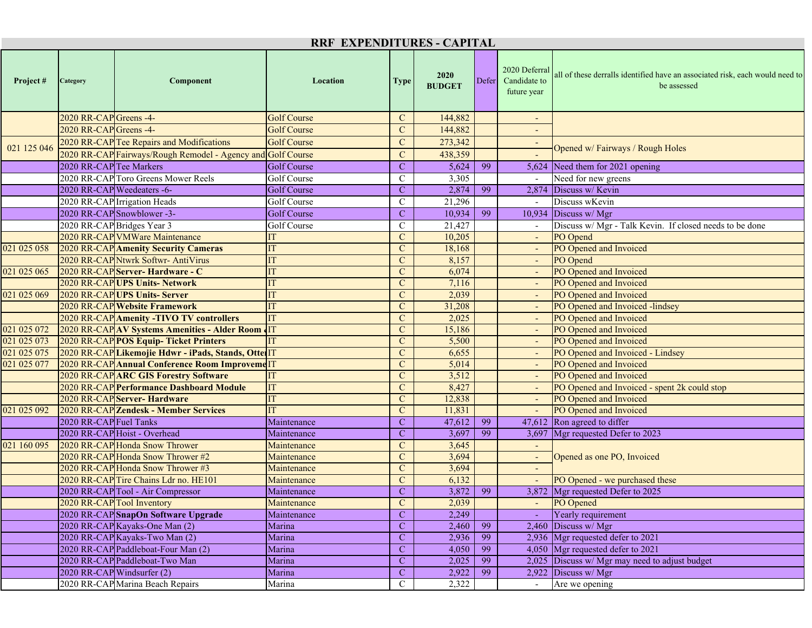| <b>RRF EXPENDITURES - CAPITAL</b>     |                            |                                                                   |                            |                               |                       |       |                                              |                                                                                             |  |  |
|---------------------------------------|----------------------------|-------------------------------------------------------------------|----------------------------|-------------------------------|-----------------------|-------|----------------------------------------------|---------------------------------------------------------------------------------------------|--|--|
| Project#                              | Category                   | Component                                                         | Location                   | <b>Type</b>                   | 2020<br><b>BUDGET</b> | Defer | 2020 Deferral<br>Candidate to<br>future year | all of these derralls identified have an associated risk, each would need to<br>be assessed |  |  |
|                                       | 2020 RR-CAP Greens -4-     |                                                                   | <b>Golf Course</b>         | $\mathbf{C}$                  | 144,882               |       |                                              |                                                                                             |  |  |
|                                       | 2020 RR-CAP Greens -4-     |                                                                   | <b>Golf Course</b>         | $\mathbf C$                   | 144,882               |       |                                              |                                                                                             |  |  |
|                                       |                            | 2020 RR-CAP Tee Repairs and Modifications                         | <b>Golf Course</b>         | $\mathbf C$                   | 273,342               |       |                                              |                                                                                             |  |  |
| 021 125 046                           |                            | 2020 RR-CAP Fairways/Rough Remodel - Agency and Golf Course       |                            | $\mathbf C$                   | 438,359               |       |                                              | Opened w/ Fairways / Rough Holes                                                            |  |  |
|                                       | 2020 RR-CAP Tee Markers    |                                                                   | <b>Golf Course</b>         | $\mathbf C$                   | 5,624                 | 99    |                                              | 5,624 Need them for 2021 opening                                                            |  |  |
|                                       |                            | 2020 RR-CAP Toro Greens Mower Reels                               | Golf Course                | C                             | 3,305                 |       |                                              | Need for new greens                                                                         |  |  |
|                                       |                            | 2020 RR-CAP Weedeaters -6-                                        | <b>Golf Course</b>         | $\mathbf C$                   | 2,874                 | 99    |                                              | 2,874 Discuss w/ Kevin                                                                      |  |  |
|                                       |                            | 2020 RR-CAP Irrigation Heads                                      | Golf Course                | $\mathcal{C}$                 | 21,296                |       | $\overline{a}$                               | Discuss wKevin                                                                              |  |  |
|                                       |                            | 2020 RR-CAP Snowblower -3-                                        | <b>Golf Course</b>         | $\mathbf{C}$                  | 10,934                | 99    |                                              | 10,934 Discuss w/ Mgr                                                                       |  |  |
|                                       |                            | 2020 RR-CAP Bridges Year 3                                        | Golf Course                | $\mathbf C$                   | 21,427                |       |                                              | Discuss w/ Mgr - Talk Kevin. If closed needs to be done                                     |  |  |
|                                       |                            | 2020 RR-CAP VMWare Maintenance                                    | IT                         | $\mathbf C$                   | 10,205                |       |                                              | PO Opend                                                                                    |  |  |
| 021 025 058                           |                            | <b>2020 RR-CAP Amenity Security Cameras</b>                       | <b>IT</b>                  | $\mathbf{C}$                  | 18,168                |       |                                              | PO Opened and Invoiced                                                                      |  |  |
|                                       |                            | 2020 RR-CAP Ntwrk Softwr- AntiVirus                               | <b>IT</b>                  | $\mathbf C$                   | 8,157                 |       |                                              | PO Opend                                                                                    |  |  |
| $\overline{021}$ $\overline{025}$ 065 |                            | 2020 RR-CAP Server- Hardware - C                                  | ľТ                         | $\mathbf C$                   | 6,074                 |       |                                              | PO Opened and Invoiced                                                                      |  |  |
|                                       |                            | 2020 RR-CAPUPS Units- Network                                     |                            | $\mathbf C$                   | 7,116                 |       |                                              | PO Opened and Invoiced                                                                      |  |  |
| 021 025 069                           |                            | 2020 RR-CAP UPS Units- Server                                     | ľТ                         | $\mathbf C$                   | 2,039                 |       |                                              | PO Opened and Invoiced                                                                      |  |  |
|                                       |                            | 2020 RR-CAP Website Framework                                     |                            | $\mathbf C$                   | 31,208                |       |                                              | PO Opened and Invoiced -lindsey                                                             |  |  |
|                                       |                            | <b>2020 RR-CAP Amenity -TIVO TV controllers</b>                   | <b>IT</b>                  | $\mathbf{C}$                  | 2,025                 |       |                                              | PO Opened and Invoiced                                                                      |  |  |
| 021 025 072                           |                            | 2020 RR-CAP AV Systems Amenities - Alder Room                     |                            | $\mathbf C$                   | 15,186                |       |                                              | PO Opened and Invoiced                                                                      |  |  |
| 021 025 073                           |                            | 2020 RR-CAP POS Equip-Ticket Printers                             |                            | $\mathbf{C}$                  | 5,500                 |       |                                              | PO Opened and Invoiced                                                                      |  |  |
| 021 025 075                           |                            | 2020 RR-CAP Likemojie Hdwr - iPads, Stands, OtterIT               |                            | $\mathbf C$                   | 6,655                 |       |                                              | PO Opened and Invoiced - Lindsey                                                            |  |  |
| 021 025 077                           |                            | 2020 RR-CAP Annual Conference Room ImprovemeIT                    |                            | $\mathbf{C}$                  | 5,014                 |       |                                              | PO Opened and Invoiced                                                                      |  |  |
|                                       |                            | 2020 RR-CAP ARC GIS Forestry Software                             | <b>IT</b>                  | $\mathcal{C}$                 | 3,512                 |       |                                              | PO Opened and Invoiced                                                                      |  |  |
|                                       |                            | 2020 RR-CAP Performance Dashboard Module                          | IT                         | $\mathbf C$                   | 8,427                 |       |                                              | PO Opened and Invoiced - spent 2k could stop                                                |  |  |
|                                       |                            | 2020 RR-CAP Server- Hardware                                      | IT                         | $\mathbf C$                   | 12,838                |       |                                              | PO Opened and Invoiced                                                                      |  |  |
| 021 025 092                           |                            | 2020 RR-CAP Zendesk - Member Services                             | ľТ                         | $\mathbf C$                   | 11,831                |       |                                              | PO Opened and Invoiced                                                                      |  |  |
|                                       | 2020 RR-CAP Fuel Tanks     |                                                                   | Maintenance                | $\mathbf C$                   | 47,612                | 99    |                                              | 47,612 Ron agreed to differ                                                                 |  |  |
|                                       |                            | 2020 RR-CAP Hoist - Overhead                                      | Maintenance                | $\mathbf C$                   | 3,697                 | 99    |                                              | 3,697 Mgr requested Defer to 2023                                                           |  |  |
| 021 160 095                           |                            | 2020 RR-CAP Honda Snow Thrower                                    | Maintenance                | $\mathbf C$                   | 3,645                 |       |                                              |                                                                                             |  |  |
|                                       |                            | 2020 RR-CAP Honda Snow Thrower #2                                 | Maintenance                | $\mathbf{C}$                  | 3,694                 |       |                                              | Opened as one PO, Invoiced                                                                  |  |  |
|                                       |                            | 2020 RR-CAP Honda Snow Thrower #3                                 | Maintenance                | $\mathbf C$                   | 3,694                 |       |                                              |                                                                                             |  |  |
|                                       |                            | 2020 RR-CAPTire Chains Ldr no. HE101                              | Maintenance<br>Maintenance | $\mathbf C$<br>$\overline{C}$ | 6,132<br>3,872        | 99    |                                              | PO Opened - we purchased these<br>3,872 Mgr requested Defer to 2025                         |  |  |
|                                       |                            | 2020 RR-CAP Tool - Air Compressor                                 |                            |                               |                       |       |                                              |                                                                                             |  |  |
|                                       |                            | 2020 RR-CAP Tool Inventory<br>2020 RR-CAP SnapOn Software Upgrade | Maintenance<br>Maintenance | $\mathbf{C}$<br>$\mathbf{C}$  | 2,039<br>2,249        |       |                                              | <b>PO</b> Opened<br>Yearly requirement                                                      |  |  |
|                                       |                            | 2020 RR-CAP Kayaks-One Man (2)                                    | Marina                     | $\mathbf C$                   | 2,460                 | 99    |                                              | $2,460$ Discuss w/ Mgr                                                                      |  |  |
|                                       |                            | 2020 RR-CAP Kayaks-Two Man (2)                                    | Marina                     | $\mathbf{C}$                  | 2,936                 | 99    |                                              | 2,936 Mgr requested defer to 2021                                                           |  |  |
|                                       |                            | 2020 RR-CAP Paddleboat-Four Man (2)                               | Marina                     | $\mathbf{C}$                  | 4,050                 | 99    |                                              | 4,050 Mgr requested defer to 2021                                                           |  |  |
|                                       |                            | 2020 RR-CAP Paddleboat-Two Man                                    | Marina                     | $\mathbf{C}$                  | 2,025                 | 99    |                                              | $2,025$ Discuss w/ Mgr may need to adjust budget                                            |  |  |
|                                       | 2020 RR-CAP Windsurfer (2) |                                                                   | Marina                     | $\mathbf{C}$                  | 2,922                 | 99    |                                              | 2,922 Discuss w/ Mgr                                                                        |  |  |
|                                       |                            | 2020 RR-CAP Marina Beach Repairs                                  | Marina                     | $\mathbf C$                   | 2,322                 |       |                                              | Are we opening                                                                              |  |  |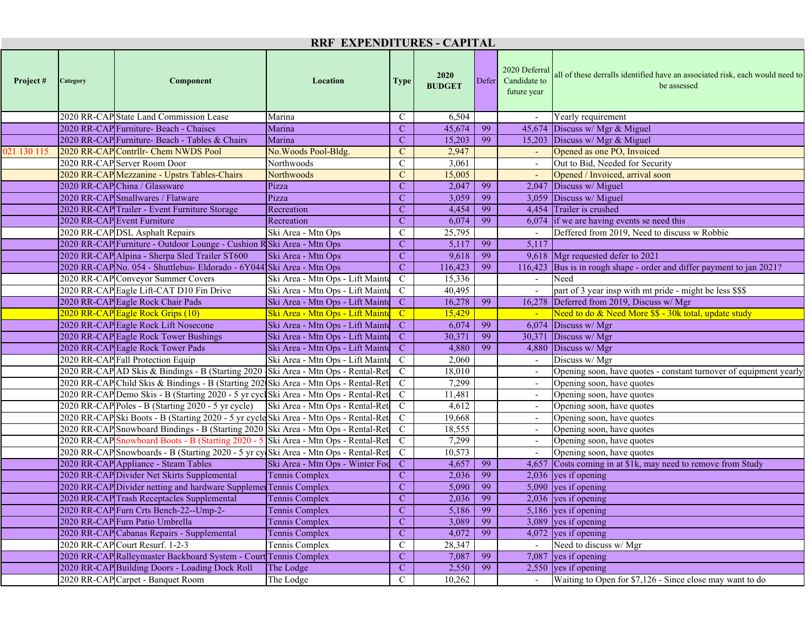| <b>RRF EXPENDITURES - CAPITAL</b> |          |                                                                                      |                                  |                         |                              |    |                                                    |                                                                                             |  |  |
|-----------------------------------|----------|--------------------------------------------------------------------------------------|----------------------------------|-------------------------|------------------------------|----|----------------------------------------------------|---------------------------------------------------------------------------------------------|--|--|
| Project#                          | Category | Component                                                                            | Location                         | <b>Type</b>             | <b>2020</b><br><b>BUDGET</b> |    | 2020 Deferral<br>Defer Candidate to<br>future year | all of these derralls identified have an associated risk, each would need to<br>be assessed |  |  |
|                                   |          | 2020 RR-CAP State Land Commission Lease                                              | Marina                           | $\mathbf C$             | 6,504                        |    |                                                    | Yearly requirement                                                                          |  |  |
|                                   |          | 2020 RR-CAP Furniture- Beach - Chaises                                               | Marina                           | $\mathbf{C}$            | 45,674                       | 99 |                                                    | 45,674 Discuss w/ Mgr & Miguel                                                              |  |  |
|                                   |          | 2020 RR-CAP Furniture- Beach - Tables & Chairs                                       | Marina                           | $\mathbf C$             | 15,203                       | 99 |                                                    | 15,203 Discuss w/ Mgr & Miguel                                                              |  |  |
| 021 130 115                       |          | 2020 RR-CAP Contrllr- Chem NWDS Pool                                                 | No. Woods Pool-Bldg.             | $\mathbf C$             | 2,947                        |    |                                                    | Opened as one PO, Invoiced                                                                  |  |  |
|                                   |          | 2020 RR-CAP Server Room Door                                                         | Northwoods                       | $\mathsf{C}$            | 3,061                        |    |                                                    | Out to Bid, Needed for Security                                                             |  |  |
|                                   |          | 2020 RR-CAP Mezzanine - Upstrs Tables-Chairs                                         | <b>Northwoods</b>                | $\mathcal{C}$           | 15,005                       |    |                                                    | Opened / Invoiced, arrival soon                                                             |  |  |
|                                   |          | 2020 RR-CAP China / Glassware                                                        | Pizza                            | $\mathbf{C}$            | 2,047                        | 99 |                                                    | 2,047 Discuss w/ Miguel                                                                     |  |  |
|                                   |          | 2020 RR-CAP Smallwares / Flatware                                                    | Pizza                            | $\mathbf C$             | 3,059                        | 99 |                                                    | $3,059$ Discuss w/ Miguel                                                                   |  |  |
|                                   |          | 2020 RR-CAP Trailer - Event Furniture Storage                                        | Recreation                       | $\mathbf C$             | 4,454                        | 99 |                                                    | 4,454 Trailer is crushed                                                                    |  |  |
|                                   |          | 2020 RR-CAP Event Furniture                                                          | Recreation                       | $\mathbf{C}$            | 6,074                        | 99 |                                                    | $6,074$ if we are having events se need this                                                |  |  |
|                                   |          | 2020 RR-CAP DSL Asphalt Repairs                                                      | Ski Area - Mtn Ops               | $\mathcal{C}$           | 25,795                       |    |                                                    | Deffered from 2019, Need to discuss w Robbie                                                |  |  |
|                                   |          | 2020 RR-CAP Furniture - Outdoor Lounge - Cushion RSki Area - Mtn Ops                 |                                  | $\mathbf C$             | 5,117                        | 99 | 5,117                                              |                                                                                             |  |  |
|                                   |          | 2020 RR-CAP Alpina - Sherpa Sled Trailer ST600                                       | Ski Area - Mtn Ops               | $\mathbf C$             | 9,618                        | 99 |                                                    | 9,618 Mgr requested defer to 2021                                                           |  |  |
|                                   |          | 2020 RR-CAP No. 054 - Shuttlebus- Eldorado - 6Y044 Ski Area - Mtn Ops                |                                  | $\mathbf{C}$            | 116,423                      | 99 |                                                    | 116,423 Bus is in rough shape - order and differ payment to jan 2021?                       |  |  |
|                                   |          | 2020 RR-CAP Conveyor Summer Covers                                                   | Ski Area - Mtn Ops - Lift Mainte | $\mathbf C$             | 15,336                       |    |                                                    | Need                                                                                        |  |  |
|                                   |          | 2020 RR-CAP Eagle Lift-CAT D10 Fin Drive                                             | Ski Area - Mtn Ops - Lift Mainte | $\mathbf C$             | 40,495                       |    |                                                    | part of 3 year insp with mt pride - might be less \$\$\$                                    |  |  |
|                                   |          | 2020 RR-CAP Eagle Rock Chair Pads                                                    | Ski Area - Mtn Ops - Lift Mainte | $\mathbf C$             | 16,278                       | 99 |                                                    | 16,278 Deferred from 2019, Discuss w/ Mgr                                                   |  |  |
|                                   |          | 2020 RR-CAP Eagle Rock Grips (10)                                                    | Ski Area - Mtn Ops - Lift Mainte | $\mathbf{C}$            | 15,429                       |    |                                                    | Need to do & Need More \$\$ - 30k total, update study                                       |  |  |
|                                   |          | 2020 RR-CAP Eagle Rock Lift Nosecone                                                 | Ski Area - Mtn Ops - Lift Mainte | $\mathbf C$             | 6,074                        | 99 |                                                    | $6.074$ Discuss w/ Mgr                                                                      |  |  |
|                                   |          | 2020 RR-CAP Eagle Rock Tower Bushings                                                | Ski Area - Mtn Ops - Lift Mainte | $\mathbf{C}$            | 30,371                       | 99 | 30,371                                             | Discuss w/ Mgr                                                                              |  |  |
|                                   |          | 2020 RR-CAP Eagle Rock Tower Pads                                                    | Ski Area - Mtn Ops - Lift Mainte | $\mathbf{C}$            | 4,880                        | 99 |                                                    | 4,880 Discuss w/ Mgr                                                                        |  |  |
|                                   |          | 2020 RR-CAP Fall Protection Equip                                                    | Ski Area - Mtn Ops - Lift Mainte | $\mathbf C$             | 2,060                        |    |                                                    | Discuss w/ Mgr                                                                              |  |  |
|                                   |          | 2020 RR-CAP AD Skis & Bindings - B (Starting 2020 Ski Area - Mtn Ops - Rental-Ret    |                                  | $\mathbf C$             | 18,010                       |    |                                                    | Opening soon, have quotes - constant turnover of equipment yearly                           |  |  |
|                                   |          | 2020 RR-CAP Child Skis & Bindings - B (Starting 202 Ski Area - Mtn Ops - Rental-Ret  |                                  | $\mathbf C$             | 7,299                        |    |                                                    | Opening soon, have quotes                                                                   |  |  |
|                                   |          | 2020 RR-CAP Demo Skis - B (Starting 2020 - 5 yr cycl Ski Area - Mtn Ops - Rental-Ret |                                  | $\mathbf C$             | 11,481                       |    |                                                    | Opening soon, have quotes                                                                   |  |  |
|                                   |          | 2020 RR-CAP Poles - B (Starting 2020 - 5 yr cycle)                                   | Ski Area - Mtn Ops - Rental-Ret  | $\mathbf C$             | 4,612                        |    |                                                    | Opening soon, have quotes                                                                   |  |  |
|                                   |          | 2020 RR-CAPSki Boots - B (Starting 2020 - 5 yr cycleSki Area - Mtn Ops - Rental-Ret  |                                  | $\mathbf C$             | 19,668                       |    |                                                    | Opening soon, have quotes                                                                   |  |  |
|                                   |          | 2020 RR-CAP Snowboard Bindings - B (Starting 2020 Ski Area - Mtn Ops - Rental-Ret    |                                  | $\mathbf C$             | 18,555                       |    |                                                    | Opening soon, have quotes                                                                   |  |  |
|                                   |          | 2020 RR-CAP Snowboard Boots - B (Starting 2020 - 5 Ski Area - Mtn Ops - Rental-Ret   |                                  | $\mathbf C$             | 7,299                        |    |                                                    | Opening soon, have quotes                                                                   |  |  |
|                                   |          | 2020 RR-CAP Snowboards - B (Starting 2020 - 5 yr cy Ski Area - Mtn Ops - Rental-Ret  |                                  | $\mathbf C$             | 10,573                       |    |                                                    | Opening soon, have quotes                                                                   |  |  |
|                                   |          | 2020 RR-CAP Appliance - Steam Tables                                                 | Ski Area - Mtn Ops - Winter Foc  | $\mathbf C$             | 4,657                        | 99 |                                                    | 4,657 Costs coming in at \$1k, may need to remove from Study                                |  |  |
|                                   |          | 2020 RR-CAP Divider Net Skirts Supplemental                                          | <b>Tennis Complex</b>            | $\mathbf{C}$            | 2,036                        | 99 |                                                    | $2,036$ yes if opening                                                                      |  |  |
|                                   |          | 2020 RR-CAP Divider netting and hardware Supplemer Tennis Complex                    |                                  | $\mathbf{C}$            | 5,090                        | 99 |                                                    | 5,090 yes if opening                                                                        |  |  |
|                                   |          | 2020 RR-CAP Trash Receptacles Supplemental                                           | <b>Tennis Complex</b>            | $\overline{\mathbf{C}}$ | 2,036                        | 99 |                                                    | 2,036 yes if opening                                                                        |  |  |
|                                   |          | 2020 RR-CAP Furn Crts Bench-22--Ump-2-                                               | Tennis Complex                   | $\mathbf C$             | 5,186                        | 99 |                                                    | 5,186 yes if opening                                                                        |  |  |
|                                   |          | 2020 RR-CAP Furn Patio Umbrella                                                      | Tennis Complex                   | $\mathbf C$             | 3,089                        | 99 |                                                    | $3,089$ yes if opening                                                                      |  |  |
|                                   |          | 2020 RR-CAP Cabanas Repairs - Supplemental                                           | Tennis Complex                   | $\mathbf{C}$            | 4,072                        | 99 |                                                    | $\overline{4,072}$ yes if opening                                                           |  |  |
|                                   |          | 2020 RR-CAP Court Resurf. 1-2-3                                                      | Tennis Complex                   | $\mathbf C$             | 28,347                       |    |                                                    | Need to discuss w/ Mgr                                                                      |  |  |
|                                   |          | 2020 RR-CAP Ralleymaster Backboard System - Court Tennis Complex                     |                                  | $\mathbf{C}$            | 7,087                        | 99 |                                                    | 7,087 yes if opening                                                                        |  |  |
|                                   |          | 2020 RR-CAP Building Doors - Loading Dock Roll                                       | The Lodge                        | $\mathbf{C}$            | 2,550                        | 99 |                                                    | $2,550$ yes if opening                                                                      |  |  |
|                                   |          | 2020 RR-CAP Carpet - Banquet Room                                                    | The Lodge                        | $\mathsf{C}$            | 10,262                       |    |                                                    | Waiting to Open for \$7,126 - Since close may want to do                                    |  |  |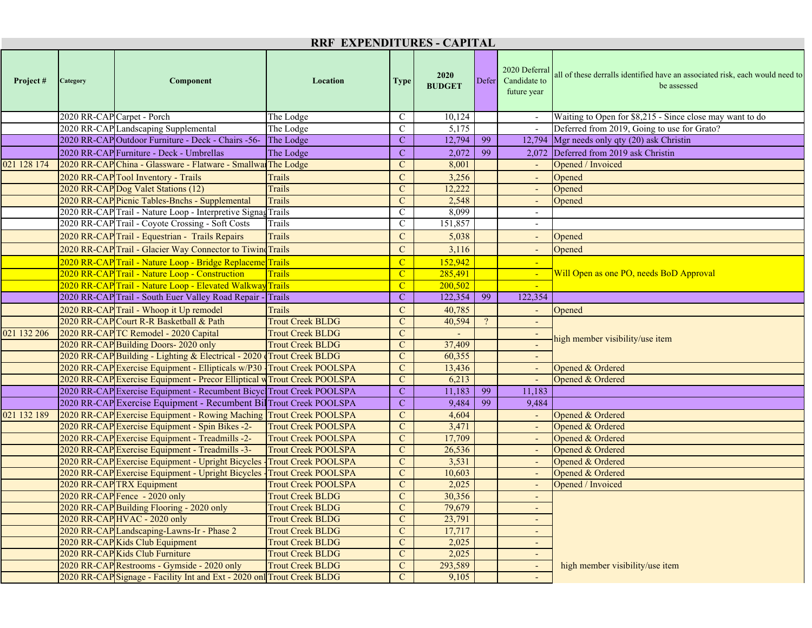| RRF EXPENDITURES - CAPITAL |                            |                                                                          |                            |                |                       |       |                                              |                                                                                             |  |  |
|----------------------------|----------------------------|--------------------------------------------------------------------------|----------------------------|----------------|-----------------------|-------|----------------------------------------------|---------------------------------------------------------------------------------------------|--|--|
| Project#                   | Category                   | Component                                                                | Location                   | <b>Type</b>    | 2020<br><b>BUDGET</b> | Defer | 2020 Deferral<br>Candidate to<br>future year | all of these derralls identified have an associated risk, each would need to<br>be assessed |  |  |
|                            | 2020 RR-CAP Carpet - Porch |                                                                          | The Lodge                  | $\mathsf{C}$   | 10,124                |       | $\sim$                                       | Waiting to Open for \$8,215 - Since close may want to do                                    |  |  |
|                            |                            | 2020 RR-CAP Landscaping Supplemental                                     | The Lodge                  | $\mathbf C$    | 5,175                 |       |                                              | Deferred from 2019, Going to use for Grato?                                                 |  |  |
|                            |                            | 2020 RR-CAP Outdoor Furniture - Deck - Chairs -56-                       | The Lodge                  | $\mathbf C$    | 12,794                | 99    |                                              | 12,794 Mgr needs only qty (20) ask Christin                                                 |  |  |
|                            |                            | 2020 RR-CAP Furniture - Deck - Umbrellas                                 | The Lodge                  | $\mathbf C$    | 2,072                 | 99    |                                              | 2,072 Deferred from 2019 ask Christin                                                       |  |  |
| 021 128 174                |                            | 2020 RR-CAP China - Glassware - Flatware - Smallwar The Lodge            |                            | $\mathbf C$    | 8,001                 |       |                                              | Opened / Invoiced                                                                           |  |  |
|                            |                            | 2020 RR-CAP Tool Inventory - Trails                                      | <b>Trails</b>              | $\overline{C}$ | 3,256                 |       | $\overline{\phantom{a}}$                     | Opened                                                                                      |  |  |
|                            |                            | 2020 RR-CAP Dog Valet Stations (12)                                      | <b>Trails</b>              | $\mathbf C$    | 12,222                |       |                                              | Opened                                                                                      |  |  |
|                            |                            | 2020 RR-CAP Picnic Tables-Bnchs - Supplemental                           | <b>Trails</b>              | $\mathbf{C}$   | 2,548                 |       |                                              | Opened                                                                                      |  |  |
|                            |                            | 2020 RR-CAP Trail - Nature Loop - Interpretive Signag Trails             |                            | $\mathsf{C}$   | 8,099                 |       |                                              |                                                                                             |  |  |
|                            |                            | 2020 RR-CAP Trail - Coyote Crossing - Soft Costs                         | Trails                     | $\mathbf C$    | 151,857               |       |                                              |                                                                                             |  |  |
|                            |                            | 2020 RR-CAP Trail - Equestrian - Trails Repairs                          | <b>Trails</b>              | $\overline{C}$ | 5,038                 |       |                                              | Opened                                                                                      |  |  |
|                            |                            | 2020 RR-CAP Trail - Glacier Way Connector to Tiwind Trails               |                            | $\mathbf C$    | 3,116                 |       |                                              | Opened                                                                                      |  |  |
|                            |                            | 2020 RR-CAP Trail - Nature Loop - Bridge Replaceme Trails                |                            | $\overline{C}$ | 152,942               |       |                                              |                                                                                             |  |  |
|                            |                            | 2020 RR-CAP Trail - Nature Loop - Construction                           | <b>Trails</b>              | $\mathbf{C}$   | 285,491               |       |                                              | <b>Will Open as one PO, needs BoD Approval</b>                                              |  |  |
|                            |                            | 2020 RR-CAP Trail - Nature Loop - Elevated Walkway Trails                |                            | $\mathbf{C}$   | 200,502               |       |                                              |                                                                                             |  |  |
|                            |                            | 2020 RR-CAP Trail - South Euer Valley Road Repair - Trails               |                            | $\mathbf C$    | 122,354               | 99    | 122,354                                      |                                                                                             |  |  |
|                            |                            | 2020 RR-CAP Trail - Whoop it Up remodel                                  | <b>Trails</b>              | $\overline{C}$ | 40,785                |       |                                              | Opened                                                                                      |  |  |
|                            |                            | 2020 RR-CAP Court R-R Basketball & Path                                  | <b>Trout Creek BLDG</b>    | $\mathbf C$    | 40,594                |       |                                              |                                                                                             |  |  |
| 021 132 206                |                            | 2020 RR-CAP TC Remodel - 2020 Capital                                    | <b>Trout Creek BLDG</b>    | $\mathbf C$    |                       |       |                                              |                                                                                             |  |  |
|                            |                            | 2020 RR-CAP Building Doors-2020 only                                     | <b>Trout Creek BLDG</b>    | $\mathbf C$    | 37,409                |       |                                              | high member visibility/use item                                                             |  |  |
|                            |                            | 2020 RR-CAP Building - Lighting & Electrical - 2020 Trout Creek BLDG     |                            | $\mathbf C$    | 60,355                |       |                                              |                                                                                             |  |  |
|                            |                            | 2020 RR-CAP Exercise Equipment - Ellipticals w/P30 Trout Creek POOLSPA   |                            | $\mathbf C$    | 13,436                |       |                                              | Opened & Ordered                                                                            |  |  |
|                            |                            | 2020 RR-CAP Exercise Equipment - Precor Elliptical w Trout Creek POOLSPA |                            | $\mathcal{C}$  | 6,213                 |       |                                              | Opened & Ordered                                                                            |  |  |
|                            |                            | 2020 RR-CAP Exercise Equipment - Recumbent Bicycl Trout Creek POOLSPA    |                            | $\mathcal{C}$  | 11,183                | 99    | 11,183                                       |                                                                                             |  |  |
|                            |                            | 2020 RR-CAP Exercise Equipment - Recumbent Bil Trout Creek POOLSPA       |                            | $\mathbf C$    | 9,484                 | 99    | 9,484                                        |                                                                                             |  |  |
| 021 132 189                |                            | 2020 RR-CAP Exercise Equipment - Rowing Maching                          | <b>Trout Creek POOLSPA</b> | $\mathbf{C}$   | 4,604                 |       |                                              | Opened & Ordered                                                                            |  |  |
|                            |                            | 2020 RR-CAP Exercise Equipment - Spin Bikes -2-                          | <b>Trout Creek POOLSPA</b> | $\mathbf{C}$   | 3,471                 |       |                                              | Opened & Ordered                                                                            |  |  |
|                            |                            | 2020 RR-CAP Exercise Equipment - Treadmills -2-                          | <b>Trout Creek POOLSPA</b> | $\mathbf C$    | 17,709                |       |                                              | Opened & Ordered                                                                            |  |  |
|                            |                            | 2020 RR-CAP Exercise Equipment - Treadmills -3-                          | <b>Trout Creek POOLSPA</b> | $\mathbf C$    | 26,536                |       |                                              | Opened & Ordered                                                                            |  |  |
|                            |                            | 2020 RR-CAP Exercise Equipment - Upright Bicycles                        | <b>Trout Creek POOLSPA</b> | $\mathbf C$    | 3,531                 |       |                                              | Opened & Ordered                                                                            |  |  |
|                            |                            | 2020 RR-CAP Exercise Equipment - Upright Bicycles                        | <b>Trout Creek POOLSPA</b> | $\mathbf{C}$   | 10,603                |       |                                              | Opened & Ordered                                                                            |  |  |
|                            |                            | 2020 RR-CAP TRX Equipment                                                | <b>Trout Creek POOLSPA</b> | $\mathbf C$    | 2,025                 |       |                                              | Opened / Invoiced                                                                           |  |  |
|                            |                            | 2020 RR-CAP Fence - 2020 only                                            | <b>Trout Creek BLDG</b>    | $\mathbf{C}$   | 30,356                |       |                                              |                                                                                             |  |  |
|                            |                            | 2020 RR-CAP Building Flooring - 2020 only                                | <b>Trout Creek BLDG</b>    | $\mathbf{C}$   | 79,679                |       | $\sim$                                       |                                                                                             |  |  |
|                            |                            | 2020 RR-CAP HVAC - 2020 only                                             | <b>Trout Creek BLDG</b>    | $\mathcal{C}$  | 23,791                |       |                                              |                                                                                             |  |  |
|                            |                            | 2020 RR-CAP Landscaping-Lawns-Ir - Phase 2                               | <b>Trout Creek BLDG</b>    | $\mathbf C$    | 17,717                |       | $\sim$                                       |                                                                                             |  |  |
|                            |                            | 2020 RR-CAP Kids Club Equipment                                          | <b>Trout Creek BLDG</b>    | $\mathbf{C}$   | 2,025                 |       |                                              |                                                                                             |  |  |
|                            |                            | 2020 RR-CAP Kids Club Furniture                                          | <b>Trout Creek BLDG</b>    | $\mathbf C$    | 2,025                 |       |                                              |                                                                                             |  |  |
|                            |                            | 2020 RR-CAP Restrooms - Gymside - 2020 only                              | <b>Trout Creek BLDG</b>    | $\mathbf C$    | 293,589               |       |                                              | high member visibility/use item                                                             |  |  |
|                            |                            | 2020 RR-CAP Signage - Facility Int and Ext - 2020 onl Trout Creek BLDG   |                            | $\mathbf{C}$   | 9,105                 |       |                                              |                                                                                             |  |  |